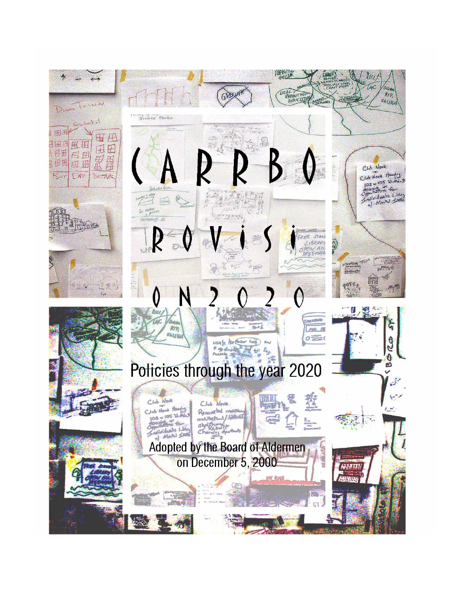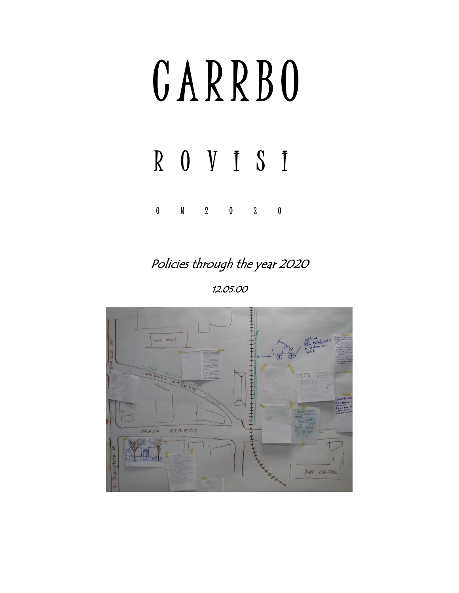# CARRBO

## ROVISI

 $0$  N  $2$  0  $2$  0

Policies through the year 2020

12.05.00

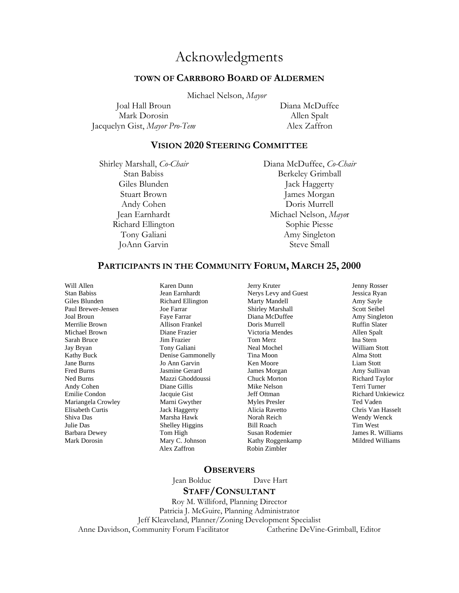#### Acknowledgments

#### **TOWN OF CARRBORO BOARD OF ALDERMEN**

Michael Nelson, *Mayor*

Joal Hall Broun Diana McDuffee Mark Dorosin Allen Spalt Jacquelyn Gist, *Mayor Pro-Tem* Alex Zaffron

#### **VISION 2020 STEERING COMMITTEE**

Richard Ellington Sophie Piesse JoAnn Garvin Steve Small

Shirley Marshall, *Co-Chair* Diana McDuffee, *Co-Chair* Stan Babiss Berkeley Grimball Giles Blunden Jack Haggerty Stuart Brown James Morgan Andy Cohen Doris Murrell Jean Earnhardt Michael Nelson, *Mayo*r Tony Galiani Amy Singleton

#### **PARTICIPANTS IN THE COMMUNITY FORUM, MARCH 25, 2000**

Alex Zaffron Robin Zimbler

Will Allen Karen Dunn Jerry Kruter Jenny Rosser Stan Babiss Jean Earnhardt Nerys Levy and Guest Jessica Ryan Giles Blunden **Richard Ellington** Marty Mandell **Amy Sayle** Amy Sayle Paul Brewer-Jensen Joe Farrar Shirley Marshall Scott Seibel Joal Broun Faye Farrar Diana McDuffee Amy Singleton Merrilie Brown **Allison Frankel** Doris Murrell **Doris Murrell** Ruffin Slater Michael Brown Diane Frazier Victoria Mendes Allen Spalt Sarah Bruce Jim Frazier Tom Merz Ina Stern Jay Bryan Tony Galiani Neal Mochel William Stott Kathy Buck **Denise Gammonelly** Tina Moon **Alma** Stott Jane Burns Jo Ann Garvin Ken Moore Liam Stott Fred Burns Jasmine Gerard James Morgan Amy Sullivan Ned Burns Mazzi Ghoddoussi Chuck Morton Richard Taylor Andy Cohen **Diane Gillis** Mike Nelson Terri Turner Emilie Condon Jacquie Gist Jeff Ottman Jeff Ottman Richard Unkiewicz Mariangela Crowley Marni Gwyther Myles Presler Ted Vaden<br>
Elisabeth Curtis Van Hart and Jack Haggerty Alicia Ravetto Chris Van H **Elisabeth Chris Van Hasselt** Alicia Ravetto Chris Van Hasselt Shiva Das Marsha Hawk Norah Reich Wendy Wenck Julie Das Shelley Higgins Bill Roach Tim West Barbara Dewey **Tom High Susan Rodemier** James R. Williams Mark Dorosin Mary C. Johnson Kathy Roggenkamp Mildred Williams

#### **OBSERVERS**

Jean Bolduc Dave Hart

#### **STAFF/CONSULTANT**

Roy M. Williford, Planning Director Patricia J. McGuire, Planning Administrator Jeff Kleaveland, Planner/Zoning Development Specialist Anne Davidson, Community Forum Facilitator Catherine DeVine-Grimball, Editor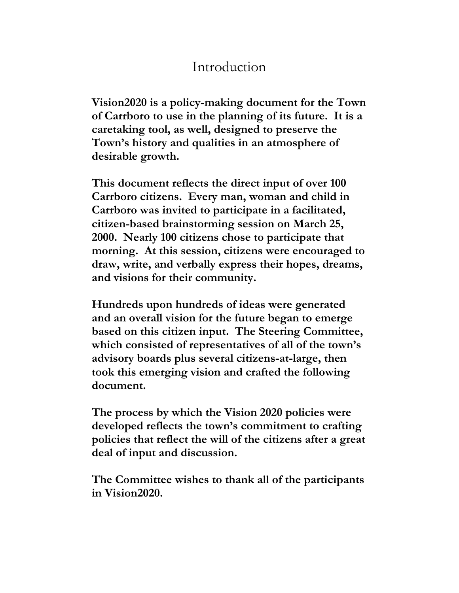### Introduction

**Vision2020 is a policy-making document for the Town of Carrboro to use in the planning of its future. It is a caretaking tool, as well, designed to preserve the Town's history and qualities in an atmosphere of desirable growth.** 

**This document reflects the direct input of over 100 Carrboro citizens. Every man, woman and child in Carrboro was invited to participate in a facilitated, citizen-based brainstorming session on March 25, 2000. Nearly 100 citizens chose to participate that morning. At this session, citizens were encouraged to draw, write, and verbally express their hopes, dreams, and visions for their community.** 

**Hundreds upon hundreds of ideas were generated and an overall vision for the future began to emerge based on this citizen input. The Steering Committee, which consisted of representatives of all of the town's advisory boards plus several citizens-at-large, then took this emerging vision and crafted the following document.** 

**The process by which the Vision 2020 policies were developed reflects the town's commitment to crafting policies that reflect the will of the citizens after a great deal of input and discussion.** 

**The Committee wishes to thank all of the participants in Vision2020.**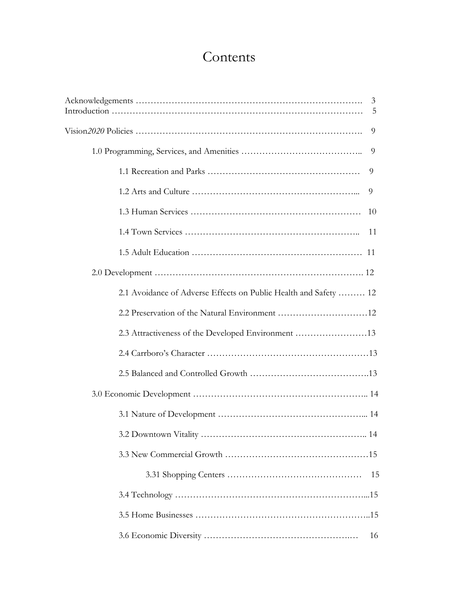## **Contents**

|                                                                  | 3<br>5 |
|------------------------------------------------------------------|--------|
|                                                                  | 9      |
|                                                                  | 9      |
| 9                                                                |        |
| 9                                                                |        |
| 10                                                               |        |
| 11                                                               |        |
|                                                                  |        |
|                                                                  |        |
| 2.1 Avoidance of Adverse Effects on Public Health and Safety  12 |        |
|                                                                  |        |
| 2.3 Attractiveness of the Developed Environment 13               |        |
|                                                                  |        |
|                                                                  |        |
|                                                                  |        |
|                                                                  |        |
|                                                                  |        |
|                                                                  |        |
|                                                                  | 15     |
|                                                                  |        |
|                                                                  |        |
|                                                                  | 16     |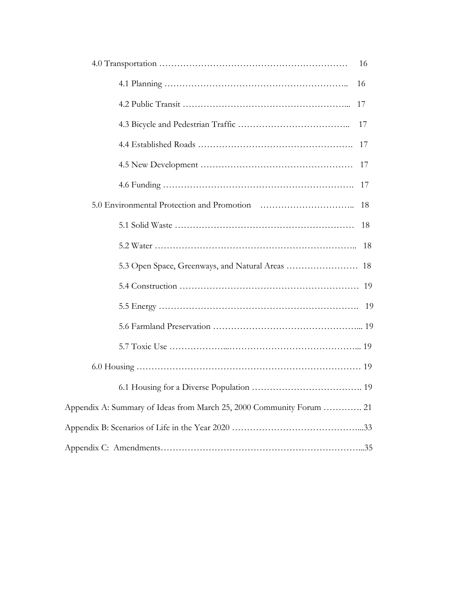| 16                                                                   |  |
|----------------------------------------------------------------------|--|
| 16                                                                   |  |
| 17                                                                   |  |
| 17                                                                   |  |
| 17                                                                   |  |
| 17                                                                   |  |
| 17                                                                   |  |
| -18                                                                  |  |
| 18                                                                   |  |
|                                                                      |  |
|                                                                      |  |
|                                                                      |  |
|                                                                      |  |
|                                                                      |  |
|                                                                      |  |
|                                                                      |  |
|                                                                      |  |
| Appendix A: Summary of Ideas from March 25, 2000 Community Forum  21 |  |
|                                                                      |  |
|                                                                      |  |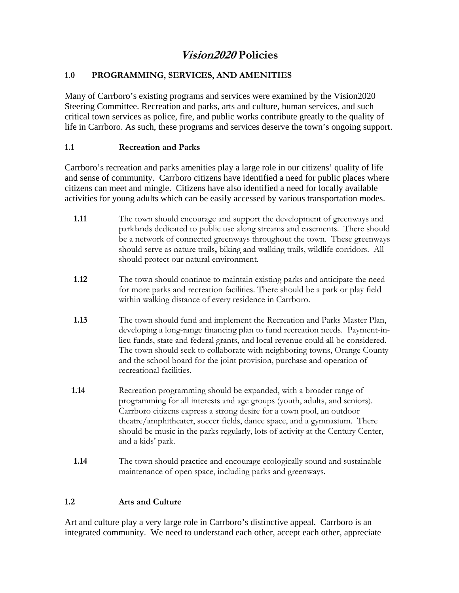#### **Vision2020 Policies**

#### **1.0 PROGRAMMING, SERVICES, AND AMENITIES**

Many of Carrboro's existing programs and services were examined by the Vision2020 Steering Committee. Recreation and parks, arts and culture, human services, and such critical town services as police, fire, and public works contribute greatly to the quality of life in Carrboro. As such, these programs and services deserve the town's ongoing support.

#### **1.1 Recreation and Parks**

Carrboro's recreation and parks amenities play a large role in our citizens' quality of life and sense of community. Carrboro citizens have identified a need for public places where citizens can meet and mingle. Citizens have also identified a need for locally available activities for young adults which can be easily accessed by various transportation modes.

- **1.11** The town should encourage and support the development of greenways and parklands dedicated to public use along streams and easements. There should be a network of connected greenways throughout the town. These greenways should serve as nature trails**,** biking and walking trails, wildlife corridors. All should protect our natural environment.
- **1.12** The town should continue to maintain existing parks and anticipate the need for more parks and recreation facilities. There should be a park or play field within walking distance of every residence in Carrboro.
- **1.13** The town should fund and implement the Recreation and Parks Master Plan, developing a long-range financing plan to fund recreation needs. Payment-inlieu funds, state and federal grants, and local revenue could all be considered. The town should seek to collaborate with neighboring towns, Orange County and the school board for the joint provision, purchase and operation of recreational facilities.
- **1.14** Recreation programming should be expanded, with a broader range of programming for all interests and age groups (youth, adults, and seniors). Carrboro citizens express a strong desire for a town pool, an outdoor theatre/amphitheater, soccer fields, dance space, and a gymnasium. There should be music in the parks regularly, lots of activity at the Century Center, and a kids' park.
- **1.14** The town should practice and encourage ecologically sound and sustainable maintenance of open space, including parks and greenways.

#### **1.2 Arts and Culture**

Art and culture play a very large role in Carrboro's distinctive appeal. Carrboro is an integrated community. We need to understand each other, accept each other, appreciate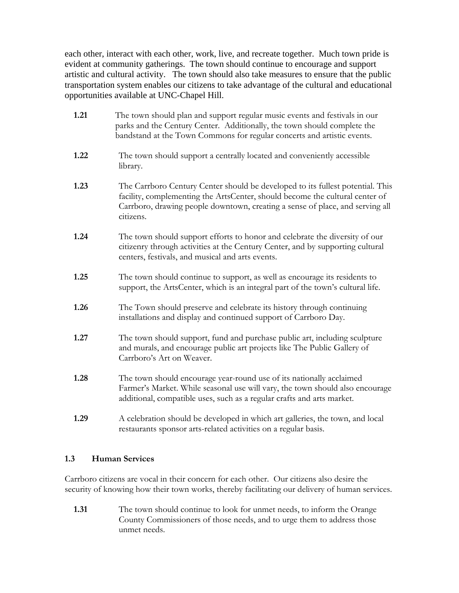each other, interact with each other, work, live, and recreate together. Much town pride is evident at community gatherings. The town should continue to encourage and support artistic and cultural activity. The town should also take measures to ensure that the public transportation system enables our citizens to take advantage of the cultural and educational opportunities available at UNC-Chapel Hill.

- **1.21** The town should plan and support regular music events and festivals in our parks and the Century Center. Additionally, the town should complete the bandstand at the Town Commons for regular concerts and artistic events.
- **1.22** The town should support a centrally located and conveniently accessible library.
- **1.23** The Carrboro Century Center should be developed to its fullest potential. This facility, complementing the ArtsCenter, should become the cultural center of Carrboro, drawing people downtown, creating a sense of place, and serving all citizens.
- **1.24** The town should support efforts to honor and celebrate the diversity of our citizenry through activities at the Century Center, and by supporting cultural centers, festivals, and musical and arts events.
- **1.25** The town should continue to support, as well as encourage its residents to support, the ArtsCenter, which is an integral part of the town's cultural life.
- **1.26** The Town should preserve and celebrate its history through continuing installations and display and continued support of Carrboro Day.
- **1.27** The town should support, fund and purchase public art, including sculpture and murals, and encourage public art projects like The Public Gallery of Carrboro's Art on Weaver.
- **1.28** The town should encourage year-round use of its nationally acclaimed Farmer's Market. While seasonal use will vary, the town should also encourage additional, compatible uses, such as a regular crafts and arts market.
- **1.29** A celebration should be developed in which art galleries, the town, and local restaurants sponsor arts-related activities on a regular basis.

#### **1.3 Human Services**

Carrboro citizens are vocal in their concern for each other. Our citizens also desire the security of knowing how their town works, thereby facilitating our delivery of human services.

 **1.31** The town should continue to look for unmet needs, to inform the Orange County Commissioners of those needs, and to urge them to address those unmet needs.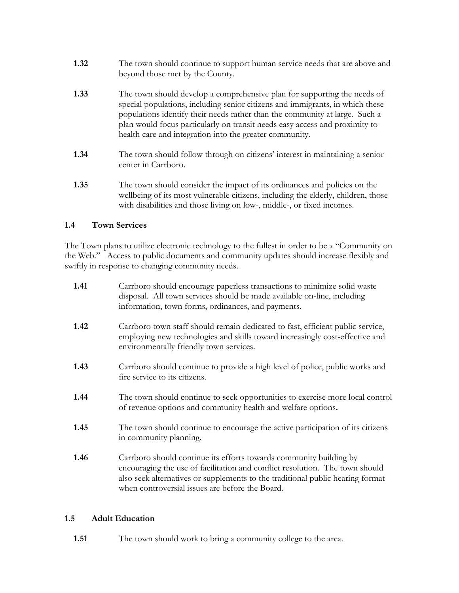- **1.32** The town should continue to support human service needs that are above and beyond those met by the County.
- **1.33** The town should develop a comprehensive plan for supporting the needs of special populations, including senior citizens and immigrants, in which these populations identify their needs rather than the community at large. Such a plan would focus particularly on transit needs easy access and proximity to health care and integration into the greater community.
- **1.34** The town should follow through on citizens' interest in maintaining a senior center in Carrboro.
- **1.35** The town should consider the impact of its ordinances and policies on the wellbeing of its most vulnerable citizens, including the elderly, children, those with disabilities and those living on low-, middle-, or fixed incomes.

#### **1.4 Town Services**

The Town plans to utilize electronic technology to the fullest in order to be a "Community on the Web." Access to public documents and community updates should increase flexibly and swiftly in response to changing community needs.

| 1.41 | Carrboro should encourage paperless transactions to minimize solid waste<br>disposal. All town services should be made available on-line, including<br>information, town forms, ordinances, and payments.                                                                               |
|------|-----------------------------------------------------------------------------------------------------------------------------------------------------------------------------------------------------------------------------------------------------------------------------------------|
| 1.42 | Carrboro town staff should remain dedicated to fast, efficient public service,<br>employing new technologies and skills toward increasingly cost-effective and<br>environmentally friendly town services.                                                                               |
| 1.43 | Carrboro should continue to provide a high level of police, public works and<br>fire service to its citizens.                                                                                                                                                                           |
| 1.44 | The town should continue to seek opportunities to exercise more local control<br>of revenue options and community health and welfare options.                                                                                                                                           |
| 1.45 | The town should continue to encourage the active participation of its citizens<br>in community planning.                                                                                                                                                                                |
| 1.46 | Carrboro should continue its efforts towards community building by<br>encouraging the use of facilitation and conflict resolution. The town should<br>also seek alternatives or supplements to the traditional public hearing format<br>when controversial issues are before the Board. |

#### **1.5 Adult Education**

**1.51** The town should work to bring a community college to the area.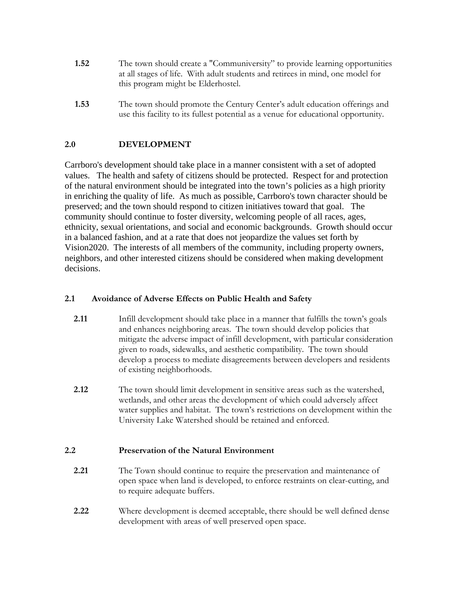- **1.52** The town should create a "Communiversity" to provide learning opportunities at all stages of life. With adult students and retirees in mind, one model for this program might be Elderhostel.
- **1.53** The town should promote the Century Center's adult education offerings and use this facility to its fullest potential as a venue for educational opportunity.

#### **2.0 DEVELOPMENT**

Carrboro's development should take place in a manner consistent with a set of adopted values. The health and safety of citizens should be protected. Respect for and protection of the natural environment should be integrated into the town's policies as a high priority in enriching the quality of life. As much as possible, Carrboro's town character should be preserved; and the town should respond to citizen initiatives toward that goal. The community should continue to foster diversity, welcoming people of all races, ages, ethnicity, sexual orientations, and social and economic backgrounds. Growth should occur in a balanced fashion, and at a rate that does not jeopardize the values set forth by Vision2020. The interests of all members of the community, including property owners, neighbors, and other interested citizens should be considered when making development decisions.

#### **2.1 Avoidance of Adverse Effects on Public Health and Safety**

- **2.11** Infill development should take place in a manner that fulfills the town's goals and enhances neighboring areas. The town should develop policies that mitigate the adverse impact of infill development, with particular consideration given to roads, sidewalks, and aesthetic compatibility. The town should develop a process to mediate disagreements between developers and residents of existing neighborhoods.
- **2.12** The town should limit development in sensitive areas such as the watershed, wetlands, and other areas the development of which could adversely affect water supplies and habitat. The town's restrictions on development within the University Lake Watershed should be retained and enforced.

#### **2.2 Preservation of the Natural Environment**

- **2.21** The Town should continue to require the preservation and maintenance of open space when land is developed, to enforce restraints on clear-cutting, and to require adequate buffers.
- **2.22** Where development is deemed acceptable, there should be well defined dense development with areas of well preserved open space.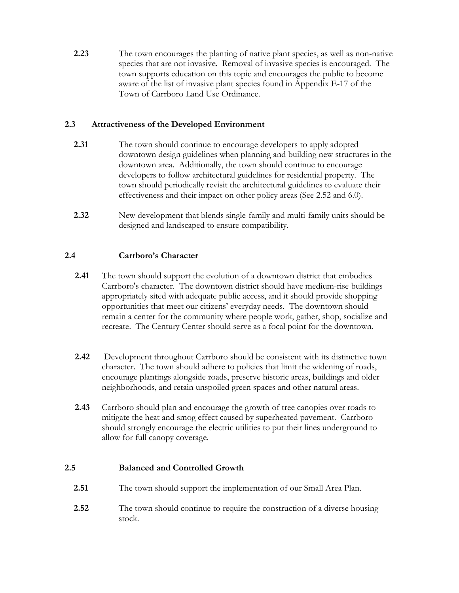**2.23** The town encourages the planting of native plant species, as well as non-native species that are not invasive. Removal of invasive species is encouraged. The town supports education on this topic and encourages the public to become aware of the list of invasive plant species found in Appendix E-17 of the Town of Carrboro Land Use Ordinance.

#### **2.3 Attractiveness of the Developed Environment**

- **2.31** The town should continue to encourage developers to apply adopted downtown design guidelines when planning and building new structures in the downtown area. Additionally, the town should continue to encourage developers to follow architectural guidelines for residential property. The town should periodically revisit the architectural guidelines to evaluate their effectiveness and their impact on other policy areas (See 2.52 and 6.0).
- **2.32** New development that blends single-family and multi-family units should be designed and landscaped to ensure compatibility.

#### **2.4 Carrboro's Character**

- **2.41** The town should support the evolution of a downtown district that embodies Carrboro's character. The downtown district should have medium-rise buildings appropriately sited with adequate public access, and it should provide shopping opportunities that meet our citizens' everyday needs. The downtown should remain a center for the community where people work, gather, shop, socialize and recreate. The Century Center should serve as a focal point for the downtown.
- **2.42** Development throughout Carrboro should be consistent with its distinctive town character. The town should adhere to policies that limit the widening of roads, encourage plantings alongside roads, preserve historic areas, buildings and older neighborhoods, and retain unspoiled green spaces and other natural areas.
- **2.43** Carrboro should plan and encourage the growth of tree canopies over roads to mitigate the heat and smog effect caused by superheated pavement. Carrboro should strongly encourage the electric utilities to put their lines underground to allow for full canopy coverage.

#### **2.5 Balanced and Controlled Growth**

- **2.51** The town should support the implementation of our Small Area Plan.
- **2.52** The town should continue to require the construction of a diverse housing stock.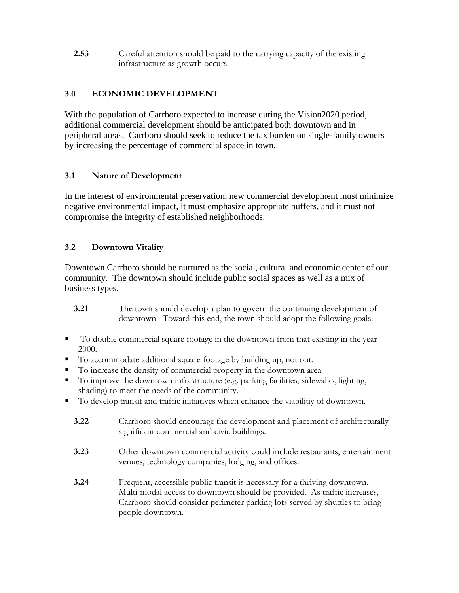**2.53** Careful attention should be paid to the carrying capacity of the existing infrastructure as growth occurs.

#### **3.0 ECONOMIC DEVELOPMENT**

With the population of Carrboro expected to increase during the Vision2020 period, additional commercial development should be anticipated both downtown and in peripheral areas. Carrboro should seek to reduce the tax burden on single-family owners by increasing the percentage of commercial space in town.

#### **3.1 Nature of Development**

In the interest of environmental preservation, new commercial development must minimize negative environmental impact, it must emphasize appropriate buffers, and it must not compromise the integrity of established neighborhoods.

#### **3.2 Downtown Vitality**

Downtown Carrboro should be nurtured as the social, cultural and economic center of our community. The downtown should include public social spaces as well as a mix of business types.

- **3.21** The town should develop a plan to govern the continuing development of downtown. Toward this end, the town should adopt the following goals:
- To double commercial square footage in the downtown from that existing in the year 2000.
- To accommodate additional square footage by building up, not out.
- To increase the density of commercial property in the downtown area.
- To improve the downtown infrastructure (e.g. parking facilities, sidewalks, lighting, shading) to meet the needs of the community.
- To develop transit and traffic initiatives which enhance the viabilitiy of downtown.
	- **3.22** Carrboro should encourage the development and placement of architecturally significant commercial and civic buildings.
	- **3.23** Other downtown commercial activity could include restaurants, entertainment venues, technology companies, lodging, and offices.
	- **3.24** Frequent, accessible public transit is necessary for a thriving downtown. Multi-modal access to downtown should be provided. As traffic increases, Carrboro should consider perimeter parking lots served by shuttles to bring people downtown.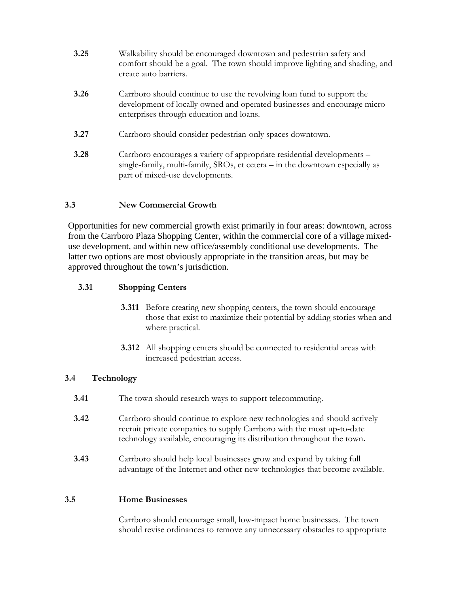| 3.25 | Walkability should be encouraged downtown and pedestrian safety and         |
|------|-----------------------------------------------------------------------------|
|      | comfort should be a goal. The town should improve lighting and shading, and |
|      | create auto barriers.                                                       |

- **3.26** Carrboro should continue to use the revolving loan fund to support the development of locally owned and operated businesses and encourage microenterprises through education and loans.
- **3.27** Carrboro should consider pedestrian-only spaces downtown.
- **3.28** Carrboro encourages a variety of appropriate residential developments single-family, multi-family, SROs, et cetera – in the downtown especially as part of mixed-use developments.

#### **3.3 New Commercial Growth**

Opportunities for new commercial growth exist primarily in four areas: downtown, across from the Carrboro Plaza Shopping Center, within the commercial core of a village mixeduse development, and within new office/assembly conditional use developments. The latter two options are most obviously appropriate in the transition areas, but may be approved throughout the town's jurisdiction.

#### **3.31 Shopping Centers**

- **3.311** Before creating new shopping centers, the town should encourage those that exist to maximize their potential by adding stories when and where practical.
- **3.312** All shopping centers should be connected to residential areas with increased pedestrian access.

#### **3.4 Technology**

- **3.41** The town should research ways to support telecommuting.
- **3.42** Carrboro should continue to explore new technologies and should actively recruit private companies to supply Carrboro with the most up-to-date technology available, encouraging its distribution throughout the town**.**
- **3.43** Carrboro should help local businesses grow and expand by taking full advantage of the Internet and other new technologies that become available.

#### **3.5 Home Businesses**

Carrboro should encourage small, low-impact home businesses. The town should revise ordinances to remove any unnecessary obstacles to appropriate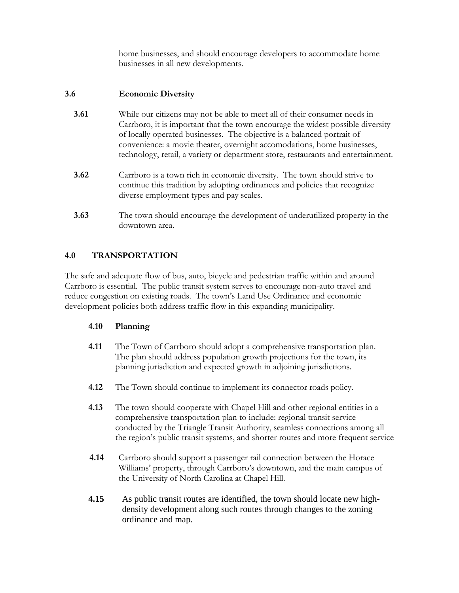home businesses, and should encourage developers to accommodate home businesses in all new developments.

#### **3.6 Economic Diversity**

- **3.61** While our citizens may not be able to meet all of their consumer needs in Carrboro, it is important that the town encourage the widest possible diversity of locally operated businesses. The objective is a balanced portrait of convenience: a movie theater, overnight accomodations, home businesses, technology, retail, a variety or department store, restaurants and entertainment.
- **3.62** Carrboro is a town rich in economic diversity. The town should strive to continue this tradition by adopting ordinances and policies that recognize diverse employment types and pay scales.
- **3.63** The town should encourage the development of underutilized property in the downtown area.

#### **4.0 TRANSPORTATION**

The safe and adequate flow of bus, auto, bicycle and pedestrian traffic within and around Carrboro is essential. The public transit system serves to encourage non-auto travel and reduce congestion on existing roads. The town's Land Use Ordinance and economic development policies both address traffic flow in this expanding municipality.

#### **4.10 Planning**

- **4.11** The Town of Carrboro should adopt a comprehensive transportation plan. The plan should address population growth projections for the town, its planning jurisdiction and expected growth in adjoining jurisdictions.
- **4.12** The Town should continue to implement its connector roads policy.
- **4.13** The town should cooperate with Chapel Hill and other regional entities in a comprehensive transportation plan to include: regional transit service conducted by the Triangle Transit Authority, seamless connections among all the region's public transit systems, and shorter routes and more frequent service
- **4.14** Carrboro should support a passenger rail connection between the Horace Williams' property, through Carrboro's downtown, and the main campus of the University of North Carolina at Chapel Hill.
- **4.15** As public transit routes are identified, the town should locate new highdensity development along such routes through changes to the zoning ordinance and map.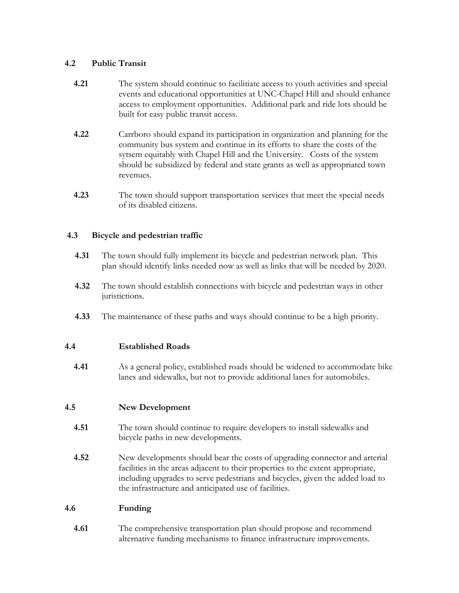#### **4.2 Public Transit**

- **4.21** The system should continue to facilitiate access to youth activities and special events and educational opportunities at UNC-Chapel Hill and should enhance access to employment opportunities. Additional park and ride lots should be built for easy public transit access.
- **4.22** Carrboro should expand its participation in organization and planning for the community bus system and continue in its efforts to share the costs of the sytsem equitably with Chapel Hill and the University. Costs of the system should be subsidized by federal and state grants as well as appropriated town revenues.
- **4.23** The town should support transportation services that meet the special needs of its disabled citizens.

#### **4.3 Bicycle and pedestrian traffic**

- **4.31** The town should fully implement its bicycle and pedestrian network plan. This plan should identify links needed now as well as links that will be needed by 2020.
- **4.32** The town should establish connections with bicycle and pedestrian ways in other juristictions.
- **4.33** The maintenance of these paths and ways should continue to be a high priority.

#### **4.4 Established Roads**

 **4.41** As a general policy, established roads should be widened to accommodate bike lanes and sidewalks, but not to provide additional lanes for automobiles.

#### **4.5 New Development**

- **4.51** The town should continue to require developers to install sidewalks and bicycle paths in new developments.
- **4.52** New developments should bear the costs of upgrading connector and arterial facilities in the areas adjacent to their properties to the extent appropriate, including upgrades to serve pedestrians and bicycles, given the added load to the infrastructure and anticipated use of facilities.

#### **4.6 Funding**

**4.61** The comprehensive transportation plan should propose and recommend alternative funding mechanisms to finance infrastructure improvements.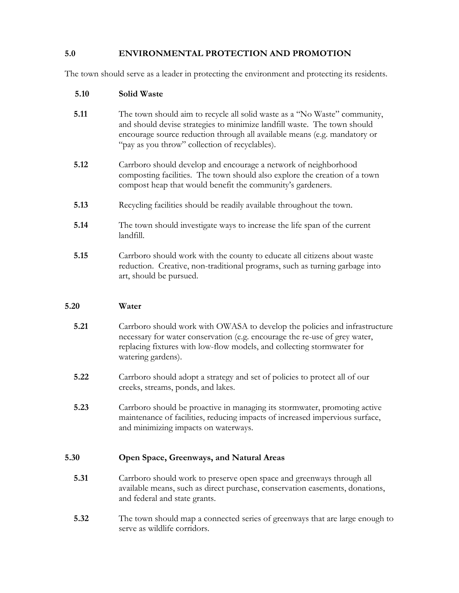#### **5.0 ENVIRONMENTAL PROTECTION AND PROMOTION**

The town should serve as a leader in protecting the environment and protecting its residents.

#### **5.10 Solid Waste**

- **5.11** The town should aim to recycle all solid waste as a "No Waste" community, and should devise strategies to minimize landfill waste. The town should encourage source reduction through all available means (e.g. mandatory or "pay as you throw" collection of recyclables).
- **5.12** Carrboro should develop and encourage a network of neighborhood composting facilities. The town should also explore the creation of a town compost heap that would benefit the community's gardeners.
- **5.13** Recycling facilities should be readily available throughout the town.
- **5.14** The town should investigate ways to increase the life span of the current landfill.
- **5.15** Carrboro should work with the county to educate all citizens about waste reduction. Creative, non-traditional programs, such as turning garbage into art, should be pursued.

#### **5.20 Water**

- **5.21** Carrboro should work with OWASA to develop the policies and infrastructure necessary for water conservation (e.g. encourage the re-use of grey water, replacing fixtures with low-flow models, and collecting stormwater for watering gardens).
- **5.22** Carrboro should adopt a strategy and set of policies to protect all of our creeks, streams, ponds, and lakes.
- **5.23** Carrboro should be proactive in managing its stormwater, promoting active maintenance of facilities, reducing impacts of increased impervious surface, and minimizing impacts on waterways.

#### **5.30 Open Space, Greenways, and Natural Areas**

- **5.31** Carrboro should work to preserve open space and greenways through all available means, such as direct purchase, conservation easements, donations, and federal and state grants.
- **5.32** The town should map a connected series of greenways that are large enough to serve as wildlife corridors.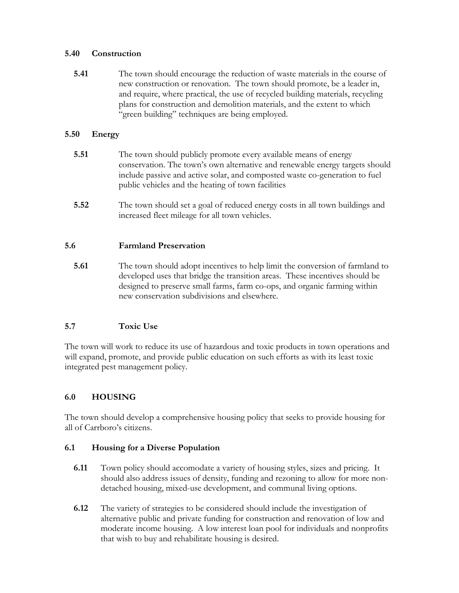#### **5.40 Construction**

 **5.41** The town should encourage the reduction of waste materials in the course of new construction or renovation. The town should promote, be a leader in, and require, where practical, the use of recycled building materials, recycling plans for construction and demolition materials, and the extent to which "green building" techniques are being employed.

#### **5.50 Energy**

- **5.51** The town should publicly promote every available means of energy conservation. The town's own alternative and renewable energy targets should include passive and active solar, and composted waste co-generation to fuel public vehicles and the heating of town facilities
- **5.52** The town should set a goal of reduced energy costs in all town buildings and increased fleet mileage for all town vehicles.

#### **5.6 Farmland Preservation**

 **5.61** The town should adopt incentives to help limit the conversion of farmland to developed uses that bridge the transition areas. These incentives should be designed to preserve small farms, farm co-ops, and organic farming within new conservation subdivisions and elsewhere.

#### **5.7 Toxic Use**

The town will work to reduce its use of hazardous and toxic products in town operations and will expand, promote, and provide public education on such efforts as with its least toxic integrated pest management policy.

#### **6.0 HOUSING**

The town should develop a comprehensive housing policy that seeks to provide housing for all of Carrboro's citizens.

#### **6.1 Housing for a Diverse Population**

- **6.11** Town policy should accomodate a variety of housing styles, sizes and pricing. It should also address issues of density, funding and rezoning to allow for more nondetached housing, mixed-use development, and communal living options.
- **6.12** The variety of strategies to be considered should include the investigation of alternative public and private funding for construction and renovation of low and moderate income housing. A low interest loan pool for individuals and nonprofits that wish to buy and rehabilitate housing is desired.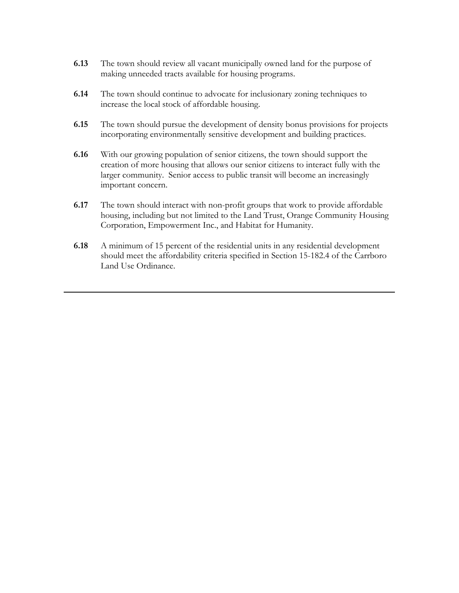- **6.13** The town should review all vacant municipally owned land for the purpose of making unneeded tracts available for housing programs.
- **6.14** The town should continue to advocate for inclusionary zoning techniques to increase the local stock of affordable housing.
- **6.15** The town should pursue the development of density bonus provisions for projects incorporating environmentally sensitive development and building practices.
- **6.16** With our growing population of senior citizens, the town should support the creation of more housing that allows our senior citizens to interact fully with the larger community. Senior access to public transit will become an increasingly important concern.
- **6.17** The town should interact with non-profit groups that work to provide affordable housing, including but not limited to the Land Trust, Orange Community Housing Corporation, Empowerment Inc., and Habitat for Humanity.
- **6.18** A minimum of 15 percent of the residential units in any residential development should meet the affordability criteria specified in Section 15-182.4 of the Carrboro Land Use Ordinance.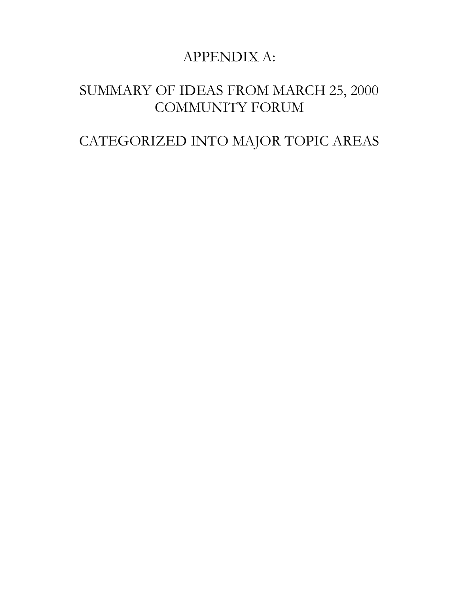## APPENDIX A:

## SUMMARY OF IDEAS FROM MARCH 25, 2000 COMMUNITY FORUM

## CATEGORIZED INTO MAJOR TOPIC AREAS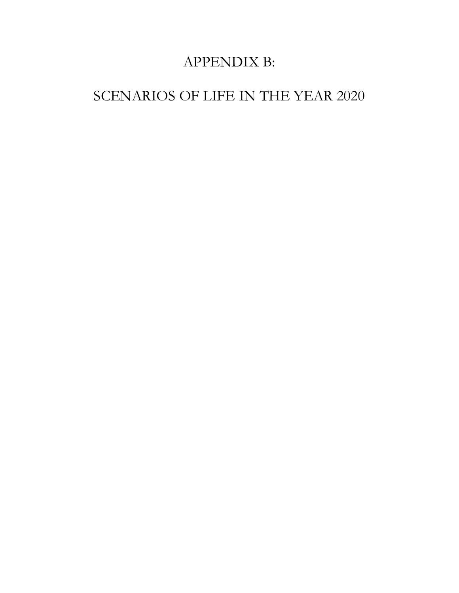## APPENDIX B:

## SCENARIOS OF LIFE IN THE YEAR 2020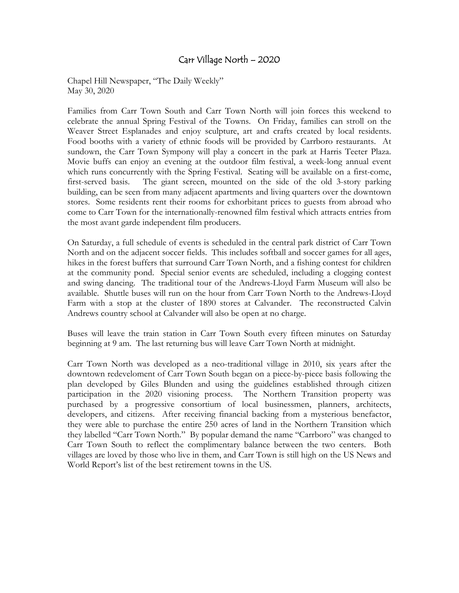#### Carr Village North – 2020

Chapel Hill Newspaper, "The Daily Weekly" May 30, 2020

Families from Carr Town South and Carr Town North will join forces this weekend to celebrate the annual Spring Festival of the Towns. On Friday, families can stroll on the Weaver Street Esplanades and enjoy sculpture, art and crafts created by local residents. Food booths with a variety of ethnic foods will be provided by Carrboro restaurants. At sundown, the Carr Town Sympony will play a concert in the park at Harris Teeter Plaza. Movie buffs can enjoy an evening at the outdoor film festival, a week-long annual event which runs concurrently with the Spring Festival. Seating will be available on a first-come, first-served basis. The giant screen, mounted on the side of the old 3-story parking building, can be seen from many adjacent apartments and living quarters over the downtown stores. Some residents rent their rooms for exhorbitant prices to guests from abroad who come to Carr Town for the internationally-renowned film festival which attracts entries from the most avant garde independent film producers.

On Saturday, a full schedule of events is scheduled in the central park district of Carr Town North and on the adjacent soccer fields. This includes softball and soccer games for all ages, hikes in the forest buffers that surround Carr Town North, and a fishing contest for children at the community pond. Special senior events are scheduled, including a clogging contest and swing dancing. The traditional tour of the Andrews-Lloyd Farm Museum will also be available. Shuttle buses will run on the hour from Carr Town North to the Andrews-Lloyd Farm with a stop at the cluster of 1890 stores at Calvander. The reconstructed Calvin Andrews country school at Calvander will also be open at no charge.

Buses will leave the train station in Carr Town South every fifteen minutes on Saturday beginning at 9 am. The last returning bus will leave Carr Town North at midnight.

Carr Town North was developed as a neo-traditional village in 2010, six years after the downtown redeveloment of Carr Town South began on a piece-by-piece basis following the plan developed by Giles Blunden and using the guidelines established through citizen participation in the 2020 visioning process. The Northern Transition property was purchased by a progressive consortium of local businessmen, planners, architects, developers, and citizens. After receiving financial backing from a mysterious benefactor, they were able to purchase the entire 250 acres of land in the Northern Transition which they labelled "Carr Town North." By popular demand the name "Carrboro" was changed to Carr Town South to reflect the complimentary balance between the two centers. Both villages are loved by those who live in them, and Carr Town is still high on the US News and World Report's list of the best retirement towns in the US.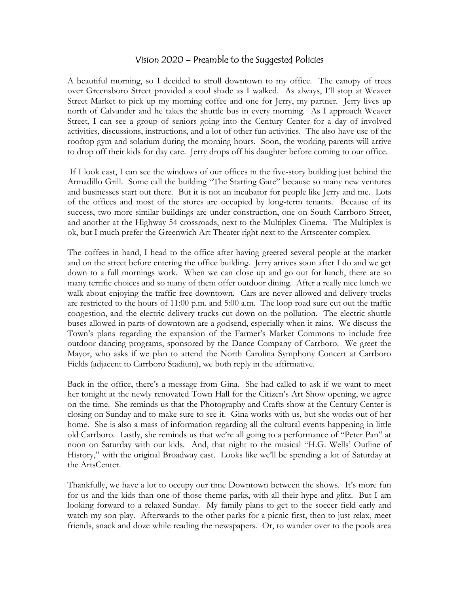#### Vision 2020 – Preamble to the Suggested Policies

A beautiful morning, so I decided to stroll downtown to my office. The canopy of trees over Greensboro Street provided a cool shade as I walked. As always, I'll stop at Weaver Street Market to pick up my morning coffee and one for Jerry, my partner. Jerry lives up north of Calvander and he takes the shuttle bus in every morning. As I approach Weaver Street, I can see a group of seniors going into the Century Center for a day of involved activities, discussions, instructions, and a lot of other fun activities. The also have use of the rooftop gym and solarium during the morning hours. Soon, the working parents will arrive to drop off their kids for day care. Jerry drops off his daughter before coming to our office.

If I look east, I can see the windows of our offices in the five-story building just behind the Armadillo Grill. Some call the building "The Starting Gate" because so many new ventures and businesses start out there. But it is not an incubator for people like Jerry and me. Lots of the offices and most of the stores are occupied by long-term tenants. Because of its success, two more similar buildings are under construction, one on South Carrboro Street, and another at the Highway 54 crossroads, next to the Multiplex Cinema. The Multiplex is ok, but I much prefer the Greenwich Art Theater right next to the Artscenter complex.

The coffees in hand, I head to the office after having greeted several people at the market and on the street before entering the office building. Jerry arrives soon after I do and we get down to a full mornings work. When we can close up and go out for lunch, there are so many terrific choices and so many of them offer outdoor dining. After a really nice lunch we walk about enjoying the traffic-free downtown. Cars are never allowed and delivery trucks are restricted to the hours of 11:00 p.m. and 5:00 a.m. The loop road sure cut out the traffic congestion, and the electric delivery trucks cut down on the pollution. The electric shuttle buses allowed in parts of downtown are a godsend, especially when it rains. We discuss the Town's plans regarding the expansion of the Farmer's Market Commons to include free outdoor dancing programs, sponsored by the Dance Company of Carrboro. We greet the Mayor, who asks if we plan to attend the North Carolina Symphony Concert at Carrboro Fields (adjacent to Carrboro Stadium), we both reply in the affirmative.

Back in the office, there's a message from Gina. She had called to ask if we want to meet her tonight at the newly renovated Town Hall for the Citizen's Art Show opening, we agree on the time. She reminds us that the Photography and Crafts show at the Century Center is closing on Sunday and to make sure to see it. Gina works with us, but she works out of her home. She is also a mass of information regarding all the cultural events happening in little old Carrboro. Lastly, she reminds us that we're all going to a performance of "Peter Pan" at noon on Saturday with our kids. And, that night to the musical "H.G. Wells' Outline of History," with the original Broadway cast. Looks like we'll be spending a lot of Saturday at the ArtsCenter.

Thankfully, we have a lot to occupy our time Downtown between the shows. It's more fun for us and the kids than one of those theme parks, with all their hype and glitz. But I am looking forward to a relaxed Sunday. My family plans to get to the soccer field early and watch my son play. Afterwards to the other parks for a picnic first, then to just relax, meet friends, snack and doze while reading the newspapers. Or, to wander over to the pools area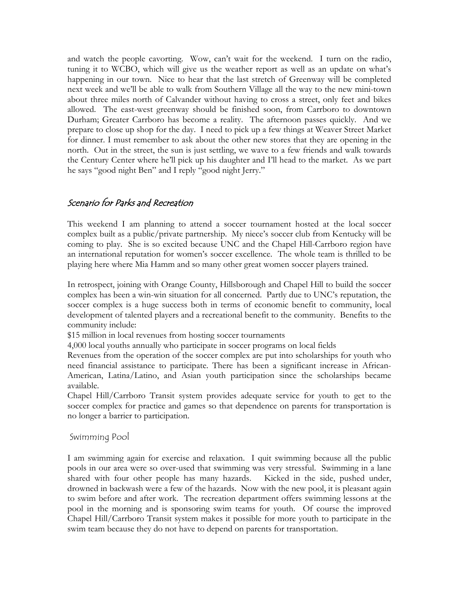and watch the people cavorting. Wow, can't wait for the weekend. I turn on the radio, tuning it to WCBO, which will give us the weather report as well as an update on what's happening in our town. Nice to hear that the last stretch of Greenway will be completed next week and we'll be able to walk from Southern Village all the way to the new mini-town about three miles north of Calvander without having to cross a street, only feet and bikes allowed. The east-west greenway should be finished soon, from Carrboro to downtown Durham; Greater Carrboro has become a reality. The afternoon passes quickly. And we prepare to close up shop for the day. I need to pick up a few things at Weaver Street Market for dinner. I must remember to ask about the other new stores that they are opening in the north. Out in the street, the sun is just settling, we wave to a few friends and walk towards the Century Center where he'll pick up his daughter and I'll head to the market. As we part he says "good night Ben" and I reply "good night Jerry."

#### Scenario for Parks and Recreation

This weekend I am planning to attend a soccer tournament hosted at the local soccer complex built as a public/private partnership. My niece's soccer club from Kentucky will be coming to play. She is so excited because UNC and the Chapel Hill-Carrboro region have an international reputation for women's soccer excellence. The whole team is thrilled to be playing here where Mia Hamm and so many other great women soccer players trained.

In retrospect, joining with Orange County, Hillsborough and Chapel Hill to build the soccer complex has been a win-win situation for all concerned. Partly due to UNC's reputation, the soccer complex is a huge success both in terms of economic benefit to community, local development of talented players and a recreational benefit to the community. Benefits to the community include:

\$15 million in local revenues from hosting soccer tournaments

4,000 local youths annually who participate in soccer programs on local fields

Revenues from the operation of the soccer complex are put into scholarships for youth who need financial assistance to participate. There has been a significant increase in African-American, Latina/Latino, and Asian youth participation since the scholarships became available.

Chapel Hill/Carrboro Transit system provides adequate service for youth to get to the soccer complex for practice and games so that dependence on parents for transportation is no longer a barrier to participation.

#### Swimming Pool

I am swimming again for exercise and relaxation. I quit swimming because all the public pools in our area were so over-used that swimming was very stressful. Swimming in a lane shared with four other people has many hazards. Kicked in the side, pushed under, drowned in backwash were a few of the hazards. Now with the new pool, it is pleasant again to swim before and after work. The recreation department offers swimming lessons at the pool in the morning and is sponsoring swim teams for youth. Of course the improved Chapel Hill/Carrboro Transit system makes it possible for more youth to participate in the swim team because they do not have to depend on parents for transportation.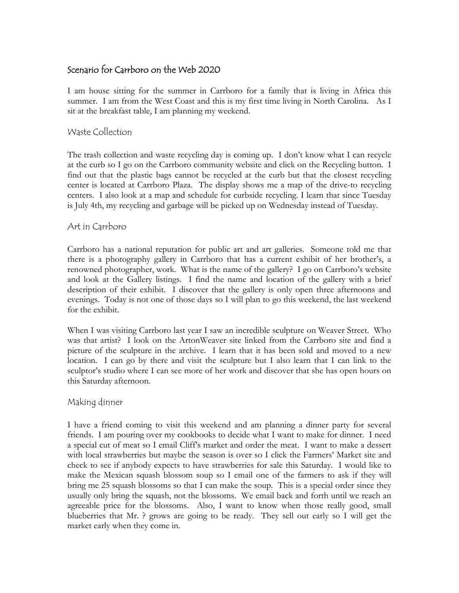#### Scenario for Carrboro on the Web 2020

I am house sitting for the summer in Carrboro for a family that is living in Africa this summer. I am from the West Coast and this is my first time living in North Carolina. As I sit at the breakfast table, I am planning my weekend.

#### Waste Collection

The trash collection and waste recycling day is coming up. I don't know what I can recycle at the curb so I go on the Carrboro community website and click on the Recycling button. I find out that the plastic bags cannot be recycled at the curb but that the closest recycling center is located at Carrboro Plaza. The display shows me a map of the drive-to recycling centers. I also look at a map and schedule for curbside recycling. I learn that since Tuesday is July 4th, my recycling and garbage will be picked up on Wednesday instead of Tuesday.

#### Art in Carrboro

Carrboro has a national reputation for public art and art galleries. Someone told me that there is a photography gallery in Carrboro that has a current exhibit of her brother's, a renowned photographer, work. What is the name of the gallery? I go on Carrboro's website and look at the Gallery listings. I find the name and location of the gallery with a brief description of their exhibit. I discover that the gallery is only open three afternoons and evenings. Today is not one of those days so I will plan to go this weekend, the last weekend for the exhibit.

When I was visiting Carrboro last year I saw an incredible sculpture on Weaver Street. Who was that artist? I look on the ArtonWeaver site linked from the Carrboro site and find a picture of the sculpture in the archive. I learn that it has been sold and moved to a new location. I can go by there and visit the sculpture but I also learn that I can link to the sculptor's studio where I can see more of her work and discover that she has open hours on this Saturday afternoon.

#### Making dinner

I have a friend coming to visit this weekend and am planning a dinner party for several friends. I am pouring over my cookbooks to decide what I want to make for dinner. I need a special cut of meat so I email Cliff's market and order the meat. I want to make a dessert with local strawberries but maybe the season is over so I click the Farmers' Market site and check to see if anybody expects to have strawberries for sale this Saturday. I would like to make the Mexican squash blossom soup so I email one of the farmers to ask if they will bring me 25 squash blossoms so that I can make the soup. This is a special order since they usually only bring the squash, not the blossoms. We email back and forth until we reach an agreeable price for the blossoms. Also, I want to know when those really good, small blueberries that Mr. ? grows are going to be ready. They sell out early so I will get the market early when they come in.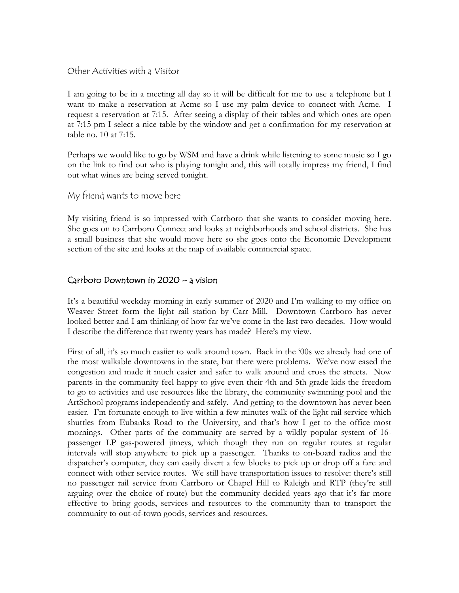#### Other Activities with a Visitor

I am going to be in a meeting all day so it will be difficult for me to use a telephone but I want to make a reservation at Acme so I use my palm device to connect with Acme. I request a reservation at 7:15. After seeing a display of their tables and which ones are open at 7:15 pm I select a nice table by the window and get a confirmation for my reservation at table no. 10 at 7:15.

Perhaps we would like to go by WSM and have a drink while listening to some music so I go on the link to find out who is playing tonight and, this will totally impress my friend, I find out what wines are being served tonight.

My friend wants to move here

My visiting friend is so impressed with Carrboro that she wants to consider moving here. She goes on to Carrboro Connect and looks at neighborhoods and school districts. She has a small business that she would move here so she goes onto the Economic Development section of the site and looks at the map of available commercial space.

#### Carrboro Downtown in 2020 – a vision

It's a beautiful weekday morning in early summer of 2020 and I'm walking to my office on Weaver Street form the light rail station by Carr Mill. Downtown Carrboro has never looked better and I am thinking of how far we've come in the last two decades. How would I describe the difference that twenty years has made? Here's my view.

First of all, it's so much easiier to walk around town. Back in the '00s we already had one of the most walkable downtowns in the state, but there were problems. We've now eased the congestion and made it much easier and safer to walk around and cross the streets. Now parents in the community feel happy to give even their 4th and 5th grade kids the freedom to go to activities and use resources like the library, the community swimming pool and the ArtSchool programs independently and safely. And getting to the downtown has never been easier. I'm fortunate enough to live within a few minutes walk of the light rail service which shuttles from Eubanks Road to the University, and that's how I get to the office most mornings. Other parts of the community are served by a wildly popular system of 16 passenger LP gas-powered jitneys, which though they run on regular routes at regular intervals will stop anywhere to pick up a passenger. Thanks to on-board radios and the dispatcher's computer, they can easily divert a few blocks to pick up or drop off a fare and connect with other service routes. We still have transportation issues to resolve: there's still no passenger rail service from Carrboro or Chapel Hill to Raleigh and RTP (they're still arguing over the choice of route) but the community decided years ago that it's far more effective to bring goods, services and resources to the community than to transport the community to out-of-town goods, services and resources.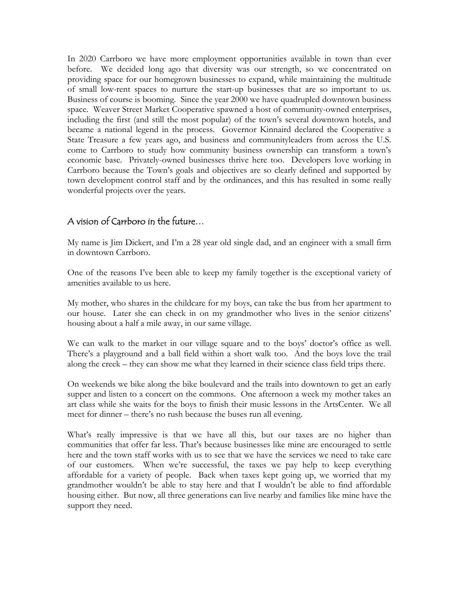In 2020 Carrboro we have more employment opportunities available in town than ever before. We decided long ago that diversity was our strength, so we concentrated on providing space for our homegrown businesses to expand, while maintaining the multitude of small low-rent spaces to nurture the start-up businesses that are so important to us. Business of course is booming. Since the year 2000 we have quadrupled downtown business space. Weaver Street Market Cooperative spawned a host of community-owned enterprises, including the first (and still the most popular) of the town's several downtown hotels, and became a national legend in the process. Governor Kinnaird declared the Cooperative a State Treasure a few years ago, and business and communityleaders from across the U.S. come to Carrboro to study how community business ownership can transform a town's economic base. Privately-owned businesses thrive here too. Developers love working in Carrboro because the Town's goals and objectives are so clearly defined and supported by town development control staff and by the ordinances, and this has resulted in some really wonderful projects over the years.

#### A vision of Carrboro in the future…

My name is Jim Dickert, and I'm a 28 year old single dad, and an engineer with a small firm in downtown Carrboro.

One of the reasons I've been able to keep my family together is the exceptional variety of amenities available to us here.

My mother, who shares in the childcare for my boys, can take the bus from her apartment to our house. Later she can check in on my grandmother who lives in the senior citizens' housing about a half a mile away, in our same village.

We can walk to the market in our village square and to the boys' doctor's office as well. There's a playground and a ball field within a short walk too. And the boys love the trail along the creek – they can show me what they learned in their science class field trips there.

On weekends we bike along the bike boulevard and the trails into downtown to get an early supper and listen to a concert on the commons. One afternoon a week my mother takes an art class while she waits for the boys to finish their music lessons in the ArtsCenter. We all meet for dinner – there's no rush because the buses run all evening.

What's really impressive is that we have all this, but our taxes are no higher than communities that offer far less. That's because businesses like mine are encouraged to settle here and the town staff works with us to see that we have the services we need to take care of our customers. When we're successful, the taxes we pay help to keep everything affordable for a variety of people. Back when taxes kept going up, we worried that my grandmother wouldn't be able to stay here and that I wouldn't be able to find affordable housing either. But now, all three generations can live nearby and families like mine have the support they need.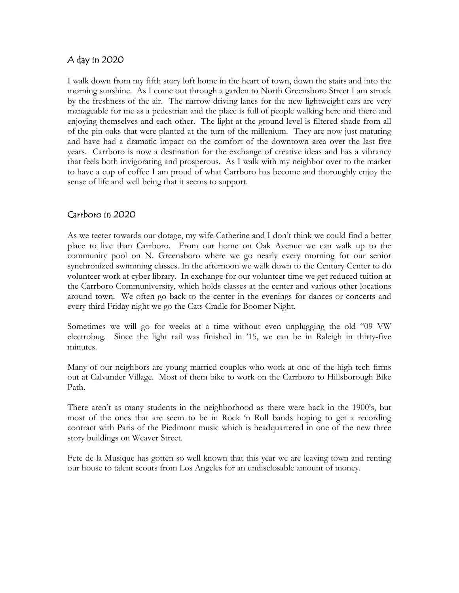#### A day in 2020

I walk down from my fifth story loft home in the heart of town, down the stairs and into the morning sunshine. As I come out through a garden to North Greensboro Street I am struck by the freshness of the air. The narrow driving lanes for the new lightweight cars are very manageable for me as a pedestrian and the place is full of people walking here and there and enjoying themselves and each other. The light at the ground level is filtered shade from all of the pin oaks that were planted at the turn of the millenium. They are now just maturing and have had a dramatic impact on the comfort of the downtown area over the last five years. Carrboro is now a destination for the exchange of creative ideas and has a vibrancy that feels both invigorating and prosperous. As I walk with my neighbor over to the market to have a cup of coffee I am proud of what Carrboro has become and thoroughly enjoy the sense of life and well being that it seems to support.

#### Carrboro in 2020

As we teeter towards our dotage, my wife Catherine and I don't think we could find a better place to live than Carrboro. From our home on Oak Avenue we can walk up to the community pool on N. Greensboro where we go nearly every morning for our senior synchronized swimming classes. In the afternoon we walk down to the Century Center to do volunteer work at cyber library. In exchange for our volunteer time we get reduced tuition at the Carrboro Communiversity, which holds classes at the center and various other locations around town. We often go back to the center in the evenings for dances or concerts and every third Friday night we go the Cats Cradle for Boomer Night.

Sometimes we will go for weeks at a time without even unplugging the old "09 VW electrobug. Since the light rail was finished in '15, we can be in Raleigh in thirty-five minutes.

Many of our neighbors are young married couples who work at one of the high tech firms out at Calvander Village. Most of them bike to work on the Carrboro to Hillsborough Bike Path.

There aren't as many students in the neighborhood as there were back in the 1900's, but most of the ones that are seem to be in Rock 'n Roll bands hoping to get a recording contract with Paris of the Piedmont music which is headquartered in one of the new three story buildings on Weaver Street.

Fete de la Musique has gotten so well known that this year we are leaving town and renting our house to talent scouts from Los Angeles for an undisclosable amount of money.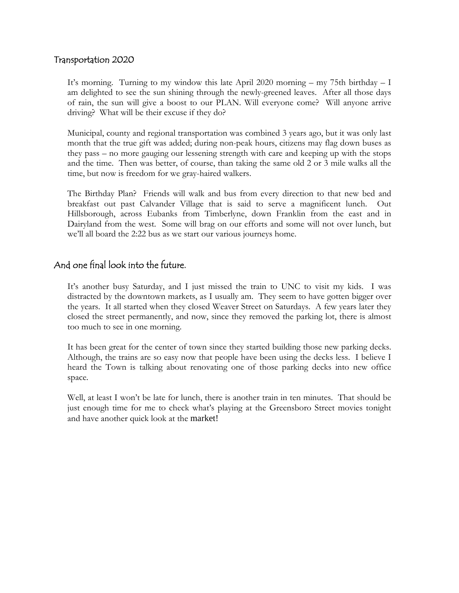#### Transportation 2020

It's morning. Turning to my window this late April 2020 morning – my 75th birthday – I am delighted to see the sun shining through the newly-greened leaves. After all those days of rain, the sun will give a boost to our PLAN. Will everyone come? Will anyone arrive driving? What will be their excuse if they do?

Municipal, county and regional transportation was combined 3 years ago, but it was only last month that the true gift was added; during non-peak hours, citizens may flag down buses as they pass – no more gauging our lessening strength with care and keeping up with the stops and the time. Then was better, of course, than taking the same old 2 or 3 mile walks all the time, but now is freedom for we gray-haired walkers.

The Birthday Plan? Friends will walk and bus from every direction to that new bed and breakfast out past Calvander Village that is said to serve a magnificent lunch. Out Hillsborough, across Eubanks from Timberlyne, down Franklin from the east and in Dairyland from the west. Some will brag on our efforts and some will not over lunch, but we'll all board the 2:22 bus as we start our various journeys home.

#### And one final look into the future.

It's another busy Saturday, and I just missed the train to UNC to visit my kids. I was distracted by the downtown markets, as I usually am. They seem to have gotten bigger over the years. It all started when they closed Weaver Street on Saturdays. A few years later they closed the street permanently, and now, since they removed the parking lot, there is almost too much to see in one morning.

It has been great for the center of town since they started building those new parking decks. Although, the trains are so easy now that people have been using the decks less. I believe I heard the Town is talking about renovating one of those parking decks into new office space.

Well, at least I won't be late for lunch, there is another train in ten minutes. That should be just enough time for me to check what's playing at the Greensboro Street movies tonight and have another quick look at the market!